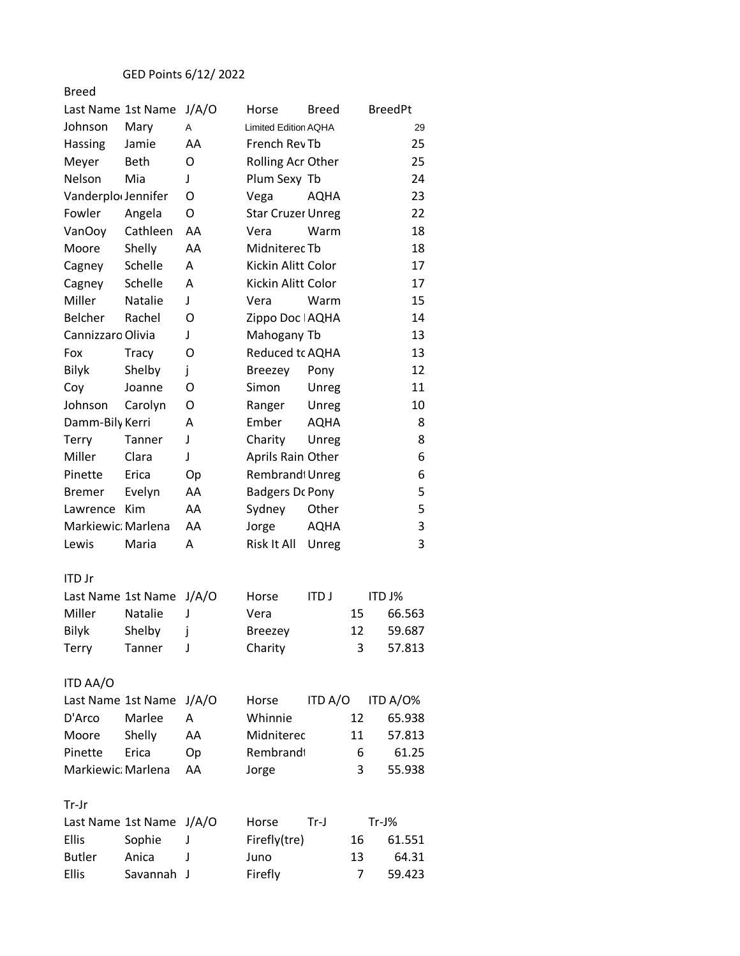| Last Name 1st Name             |                | J/A/O | Horse                       | Breed       |    | <b>BreedPt</b> |
|--------------------------------|----------------|-------|-----------------------------|-------------|----|----------------|
| Johnson                        | Mary           | A     | <b>Limited Edition AQHA</b> |             |    | 29             |
| Hassing                        | Jamie          | AA    | French Rev Tb               |             |    | 25             |
| Meyer                          | Beth           | O     | Rolling Acr Other           |             |    | 25             |
| Nelson                         | Mia            | J     | Plum Sexy Tb                |             |    | 24             |
| Vanderplo <sub>(Jennifer</sub> |                | O     | Vega                        | AQHA        |    | 23             |
| Fowler                         | Angela         | O     | <b>Star Cruzer Unreg</b>    |             |    | 22             |
| VanOoy                         | Cathleen       | AA    | Vera                        | Warm        |    | 18             |
| Moore                          | Shelly         | AA    | Midniterec Tb               |             |    | 18             |
| Cagney                         | Schelle        | A     | Kickin Alitt Color          |             |    | 17             |
| Cagney                         | Schelle        | А     | Kickin Alitt Color          |             |    | 17             |
| Miller                         | <b>Natalie</b> | J     | Vera                        | Warm        |    | 15             |
| Belcher                        | Rachel         | O     | Zippo Doc   AQHA            |             |    | 14             |
| Cannizzaro Olivia              |                | J     | Mahogany Tb                 |             |    | 13             |
| Fox                            | <b>Tracy</b>   | O     | Reduced tc AQHA             |             |    | 13             |
| <b>Bilyk</b>                   | Shelby         | j     | <b>Breezey</b>              | Pony        |    | 12             |
| Coy                            | Joanne         | O     | Simon                       | Unreg       |    | 11             |
| Johnson                        | Carolyn        | Ο     | Ranger                      | Unreg       |    | 10             |
| Damm-Bily Kerri                |                | А     | Ember                       | AQHA        |    | 8              |
| Terry                          | Tanner         | J     | Charity                     | Unreg       |    | 8              |
| Miller                         | Clara          | J     | Aprils Rain Other           |             |    | 6              |
| Pinette                        | Erica          | Op    | Rembrand <sup>t</sup> Unreg |             |    | 6              |
| <b>Bremer</b>                  | Evelyn         | AA    | <b>Badgers Dc Pony</b>      |             |    | 5              |
| Lawrence                       | Kim            | AA    | Sydney                      | Other       |    | 5              |
| Markiewic: Marlena             |                | AA    | Jorge                       | <b>AQHA</b> |    | 3              |
| Lewis                          | Maria          | A     | Risk It All                 | Unreg       |    | 3              |
|                                |                |       |                             |             |    |                |
| ITD Jr                         |                |       |                             |             |    |                |
| Last Name 1st Name             |                | J/A/O | Horse                       | <b>ITDJ</b> |    | ITD J%         |
| Miller                         | <b>Natalie</b> | J     | Vera                        |             | 15 | 66.563         |
| <b>Bilyk</b>                   | Shelby         | j     | <b>Breezey</b>              |             | 12 | 59.687         |
| Terry                          | Tanner         | J     | Charity                     |             | 3  | 57.813         |
|                                |                |       |                             |             |    |                |
| <b>ITD AA/O</b>                |                |       |                             |             |    |                |
| Last Name 1st Name             |                | J/A/O | Horse                       | ITD A/O     |    | ITD A/O%       |
| D'Arco                         | Marlee         | А     | Whinnie                     |             | 12 | 65.938         |
| Moore                          | Shelly         | AA    | Midniterec                  |             | 11 | 57.813         |
| Pinette                        | Erica          | Op    | Rembrandt                   |             | 6  | 61.25          |
| Markiewic: Marlena             |                | AA    | Jorge                       |             | 3  | 55.938         |
|                                |                |       |                             |             |    |                |
| Tr-Jr                          |                |       |                             |             |    |                |
| Last Name 1st Name             |                | J/A/O | Horse                       | $Tr-J$      |    | Tr-J%          |
| Ellis                          | Sophie         | J     | Firefly(tre)                |             | 16 | 61.551         |
| <b>Butler</b>                  | Anica          | J     | Juno                        |             | 13 | 64.31          |
| <b>Ellis</b>                   | Savannah J     |       | Firefly                     |             | 7  | 59.423         |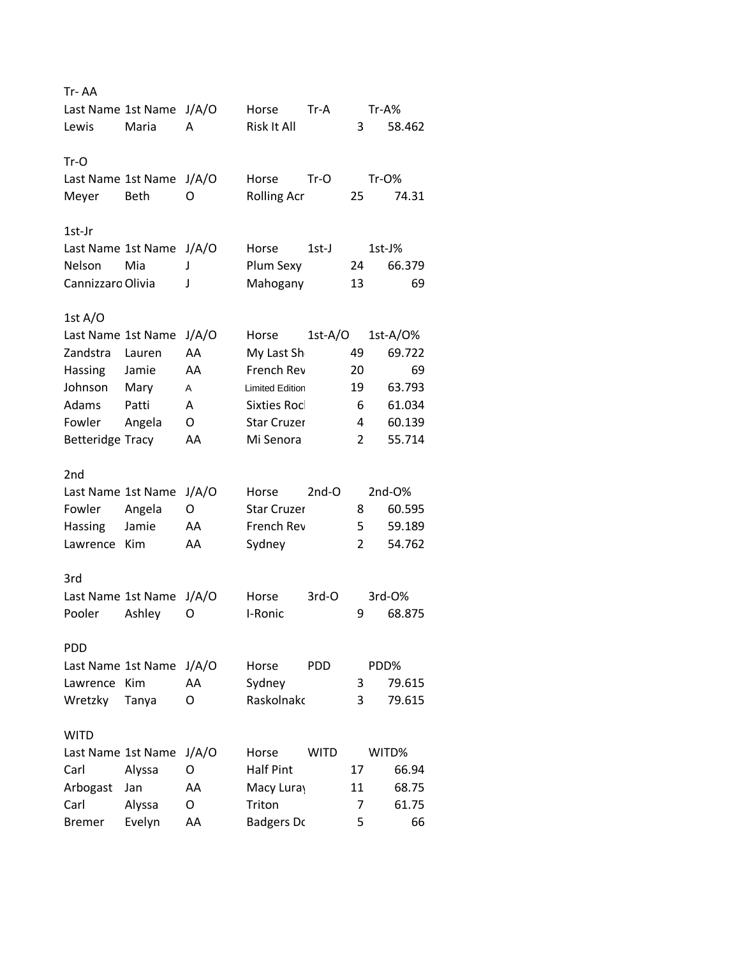| Tr-AA                   |                    |       |                        |             |                |          |
|-------------------------|--------------------|-------|------------------------|-------------|----------------|----------|
|                         | Last Name 1st Name | J/A/O | Horse                  | $Tr-A$      |                | $Tr-A%$  |
| Lewis                   | Maria              | А     | Risk It All            |             | 3              | 58.462   |
|                         |                    |       |                        |             |                |          |
| $Tr-O$                  |                    |       |                        |             |                |          |
|                         | Last Name 1st Name | J/A/O | Horse                  | $Tr-O$      |                | Tr-0%    |
| Meyer                   | Beth               | O     | <b>Rolling Acr</b>     |             | 25             | 74.31    |
|                         |                    |       |                        |             |                |          |
| 1st-Jr                  |                    |       |                        |             |                |          |
|                         | Last Name 1st Name | J/A/O | Horse                  | 1st-J       |                | 1st-J%   |
| Nelson                  | Mia                | J     | Plum Sexy              |             | 24             | 66.379   |
| Cannizzaro Olivia       |                    | J     | Mahogany               |             | 13             | 69       |
|                         |                    |       |                        |             |                |          |
| 1st $A/O$               |                    |       |                        |             |                |          |
| Last Name 1st Name      |                    | J/A/O | Horse                  | $1st-A/O$   |                | 1st-A/0% |
| Zandstra                | Lauren             | AA    | My Last Sh             |             | 49             | 69.722   |
| Hassing                 | Jamie              | AA    | French Rev             |             | 20             | 69       |
| Johnson                 | Mary               | A     | <b>Limited Edition</b> |             | 19             | 63.793   |
| Adams                   | Patti              | А     | <b>Sixties Rocl</b>    |             | 6              | 61.034   |
| Fowler                  | Angela             | O     | <b>Star Cruzer</b>     |             | 4              | 60.139   |
| <b>Betteridge Tracy</b> |                    | AA    | Mi Senora              |             | 2              | 55.714   |
|                         |                    |       |                        |             |                |          |
| 2nd                     |                    |       |                        |             |                |          |
| Last Name 1st Name      |                    | J/A/O | Horse                  | $2nd-O$     |                | 2nd-O%   |
| Fowler                  | Angela             | O     | <b>Star Cruzer</b>     |             | 8              | 60.595   |
| Hassing                 | Jamie              | AA    | French Rev             |             | 5              | 59.189   |
| Lawrence                | Kim                | AA    | Sydney                 |             | $\overline{2}$ | 54.762   |
|                         |                    |       |                        |             |                |          |
| 3rd                     |                    |       |                        |             |                |          |
| Last Name 1st Name      |                    | J/A/O | Horse                  | 3rd-O       |                | 3rd-0%   |
| Pooler                  | Ashley             | O     | I-Ronic                |             | 9              | 68.875   |
|                         |                    |       |                        |             |                |          |
| <b>PDD</b>              |                    |       |                        |             |                |          |
|                         | Last Name 1st Name | J/A/O | Horse                  | <b>PDD</b>  |                | PDD%     |
| Lawrence                | Kim                | AA    | Sydney                 |             | 3              | 79.615   |
| Wretzky                 | Tanya              | O     | Raskolnakc             |             | 3              | 79.615   |
|                         |                    |       |                        |             |                |          |
| <b>WITD</b>             |                    |       |                        |             |                |          |
| Last Name 1st Name      |                    | J/A/O | Horse                  | <b>WITD</b> |                | WITD%    |
| Carl                    | Alyssa             | O     | <b>Half Pint</b>       |             | 17             | 66.94    |
| Arbogast                | Jan                | AA    | Macy Luray             |             | 11             | 68.75    |
| Carl                    | Alyssa             | O     | Triton                 |             | 7              | 61.75    |
| <b>Bremer</b>           | Evelyn             | AA    | <b>Badgers Dc</b>      |             | 5              | 66       |
|                         |                    |       |                        |             |                |          |